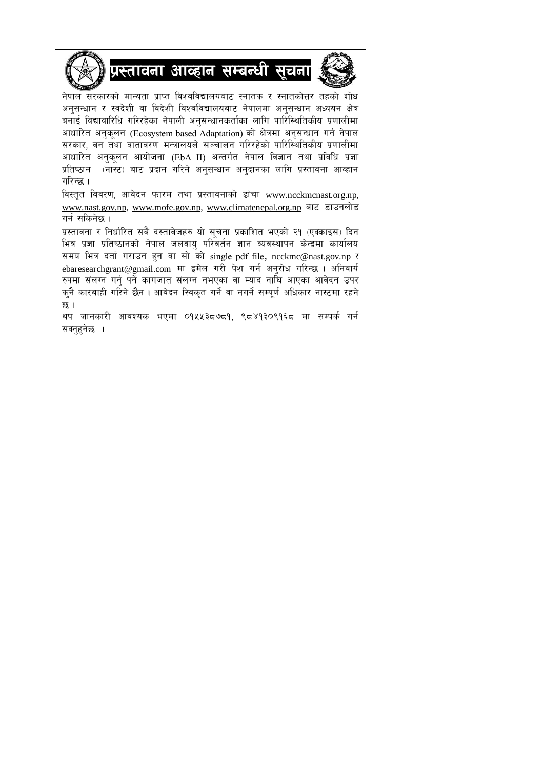



नेपाल सरकारको मान्यता प्राप्त विश्वविद्यालयबाट स्नातक र स्नातकोत्तर तहको शोध अनुसन्धान र स्वदेशी वा विदेशी विश्वविद्यालयबाट नेपालमा अनुसन्धान अध्ययन क्षेत्र बनाई विद्यावारिधि गरिरहेका नेपाली अनुसन्धानकर्ताका लागि पारिस्थितिकीय प्रणालीमा आधारित अनकलन (Ecosystem based Adaptation) को क्षेत्रमा अनुसन्धान गर्न नेपाल सरकार, वन तथा वातावरण मन्त्रालयले सञ्चालन गरिरहेको पारिस्थितिकीय प्रणालीमा आधारित अनुकुलन आयोजना (EbA II) अन्तर्गत नेपाल विज्ञान तथा प्रविधि प्रज्ञा <u>प्रतिष्ठान (नास्ट) बाट प्रदान गरिने अनसन्धान अनदानका लागि प्रस्तावना आव्हान</u> गरिन्छ।

विस्तृत विवरण, आवेदन फारम तथा प्रस्तावनाको ढाँचा [www.ncckmcnast.org.np,](http://www.ncckmcnast.org.np/) [www.nast.gov.np,](http://www.nast.gov.np/) [www.mofe.gov.np,](http://www.mofe.gov.np/) [www.climatenepal.org.np](http://www.climatenepal.org.np/) बाट डाउनलोड गर्न सकिनेछ ।

प्रस्तावना र निर्धारित सबै दस्तावेजहरु यो सचना प्रकाशित भएको २१ (एक्काइस) दिन भित्र प्रज्ञा प्रतिष्ठानको नेपाल जलवायु परिवर्तन ज्ञान व्यवस्थापन केन्द्रमा कार्यालय समय भित्र दर्ता गराउन हुन वा सो को single pdf file, [ncckmc@nast.gov.np](mailto:ncckmc@nast.gov.np) र [ebaresearchgrant@gmail.com](mailto:ebaresearchgrant@gmail.com) मा इमेल गरी पेश गर्न अनुरोध गरिन्छ । अनिवार्य रुपमा संलग्न गर्न् पर्ने कागजात संलग्न नभएका वा म्याद नाघि आएका आवेदन उपर कनै कारबाही गरिने छैन । आवेदन स्विकत गर्ने वा नगर्ने सम्पर्ण अधिकार नास्टमा रहने छ $<sub>1</sub>$ </sub>

थप जानकारी आवश्यक भएमा ०१५५३८७८१. ९८४१३०९१६८ मा सम्पर्क गर्न सक्नहनेछ ।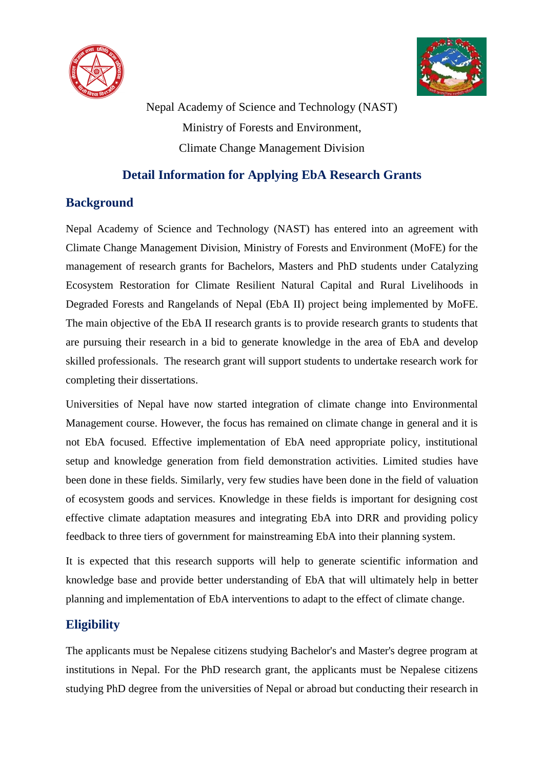



Nepal Academy of Science and Technology (NAST) Ministry of Forests and Environment, Climate Change Management Division

## **Detail Information for Applying EbA Research Grants**

# **Background**

Nepal Academy of Science and Technology (NAST) has entered into an agreement with Climate Change Management Division, Ministry of Forests and Environment (MoFE) for the management of research grants for Bachelors, Masters and PhD students under Catalyzing Ecosystem Restoration for Climate Resilient Natural Capital and Rural Livelihoods in Degraded Forests and Rangelands of Nepal (EbA II) project being implemented by MoFE. The main objective of the EbA II research grants is to provide research grants to students that are pursuing their research in a bid to generate knowledge in the area of EbA and develop skilled professionals. The research grant will support students to undertake research work for completing their dissertations.

Universities of Nepal have now started integration of climate change into Environmental Management course. However, the focus has remained on climate change in general and it is not EbA focused. Effective implementation of EbA need appropriate policy, institutional setup and knowledge generation from field demonstration activities. Limited studies have been done in these fields. Similarly, very few studies have been done in the field of valuation of ecosystem goods and services. Knowledge in these fields is important for designing cost effective climate adaptation measures and integrating EbA into DRR and providing policy feedback to three tiers of government for mainstreaming EbA into their planning system.

It is expected that this research supports will help to generate scientific information and knowledge base and provide better understanding of EbA that will ultimately help in better planning and implementation of EbA interventions to adapt to the effect of climate change.

# **Eligibility**

The applicants must be Nepalese citizens studying Bachelor's and Master's degree program at institutions in Nepal. For the PhD research grant, the applicants must be Nepalese citizens studying PhD degree from the universities of Nepal or abroad but conducting their research in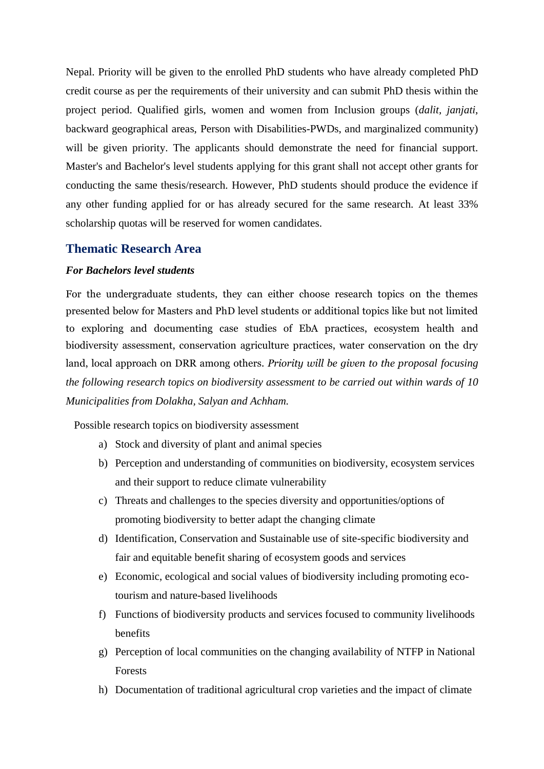Nepal. Priority will be given to the enrolled PhD students who have already completed PhD credit course as per the requirements of their university and can submit PhD thesis within the project period. Qualified girls, women and women from Inclusion groups (*dalit, janjati*, backward geographical areas, Person with Disabilities-PWDs, and marginalized community) will be given priority. The applicants should demonstrate the need for financial support. Master's and Bachelor's level students applying for this grant shall not accept other grants for conducting the same thesis/research. However, PhD students should produce the evidence if any other funding applied for or has already secured for the same research. At least 33% scholarship quotas will be reserved for women candidates.

#### **Thematic Research Area**

### *For Bachelors level students*

For the undergraduate students, they can either choose research topics on the themes presented below for Masters and PhD level students or additional topics like but not limited to exploring and documenting case studies of EbA practices, ecosystem health and biodiversity assessment, conservation agriculture practices, water conservation on the dry land, local approach on DRR among others. *Priority will be given to the proposal focusing the following research topics on biodiversity assessment to be carried out within wards of 10 Municipalities from Dolakha, Salyan and Achham.*

Possible research topics on biodiversity assessment

- a) Stock and diversity of plant and animal species
- b) Perception and understanding of communities on biodiversity, ecosystem services and their support to reduce climate vulnerability
- c) Threats and challenges to the species diversity and opportunities/options of promoting biodiversity to better adapt the changing climate
- d) Identification, Conservation and Sustainable use of site-specific biodiversity and fair and equitable benefit sharing of ecosystem goods and services
- e) Economic, ecological and social values of biodiversity including promoting ecotourism and nature-based livelihoods
- f) Functions of biodiversity products and services focused to community livelihoods benefits
- g) Perception of local communities on the changing availability of NTFP in National Forests
- h) Documentation of traditional agricultural crop varieties and the impact of climate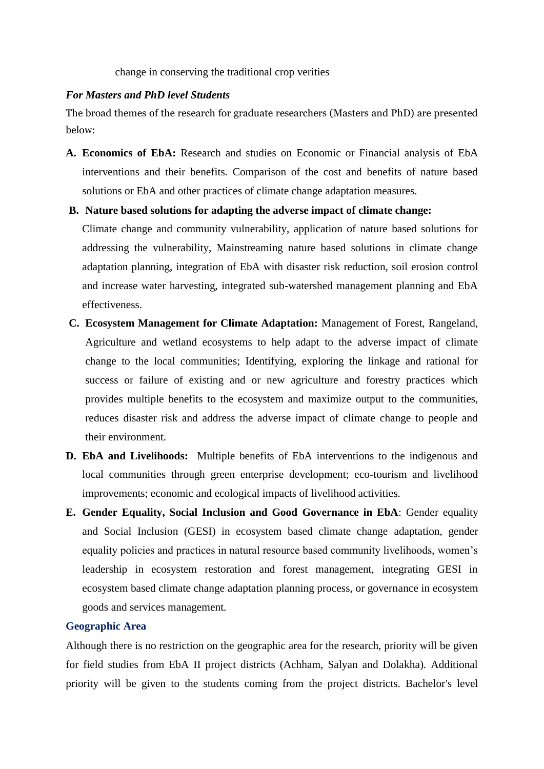change in conserving the traditional crop verities

### *For Masters and PhD level Students*

The broad themes of the research for graduate researchers (Masters and PhD) are presented below:

**A. Economics of EbA:** Research and studies on Economic or Financial analysis of EbA interventions and their benefits. Comparison of the cost and benefits of nature based solutions or EbA and other practices of climate change adaptation measures.

## **B. Nature based solutions for adapting the adverse impact of climate change:**

Climate change and community vulnerability, application of nature based solutions for addressing the vulnerability, Mainstreaming nature based solutions in climate change adaptation planning, integration of EbA with disaster risk reduction, soil erosion control and increase water harvesting, integrated sub-watershed management planning and EbA effectiveness.

- **C. Ecosystem Management for Climate Adaptation:** Management of Forest, Rangeland, Agriculture and wetland ecosystems to help adapt to the adverse impact of climate change to the local communities; Identifying, exploring the linkage and rational for success or failure of existing and or new agriculture and forestry practices which provides multiple benefits to the ecosystem and maximize output to the communities, reduces disaster risk and address the adverse impact of climate change to people and their environment.
- **D. EbA and Livelihoods:** Multiple benefits of EbA interventions to the indigenous and local communities through green enterprise development; eco-tourism and livelihood improvements; economic and ecological impacts of livelihood activities.
- **E. Gender Equality, Social Inclusion and Good Governance in EbA**: Gender equality and Social Inclusion (GESI) in ecosystem based climate change adaptation, gender equality policies and practices in natural resource based community livelihoods, women's leadership in ecosystem restoration and forest management, integrating GESI in ecosystem based climate change adaptation planning process, or governance in ecosystem goods and services management.

#### **Geographic Area**

Although there is no restriction on the geographic area for the research, priority will be given for field studies from EbA II project districts (Achham, Salyan and Dolakha). Additional priority will be given to the students coming from the project districts. Bachelor's level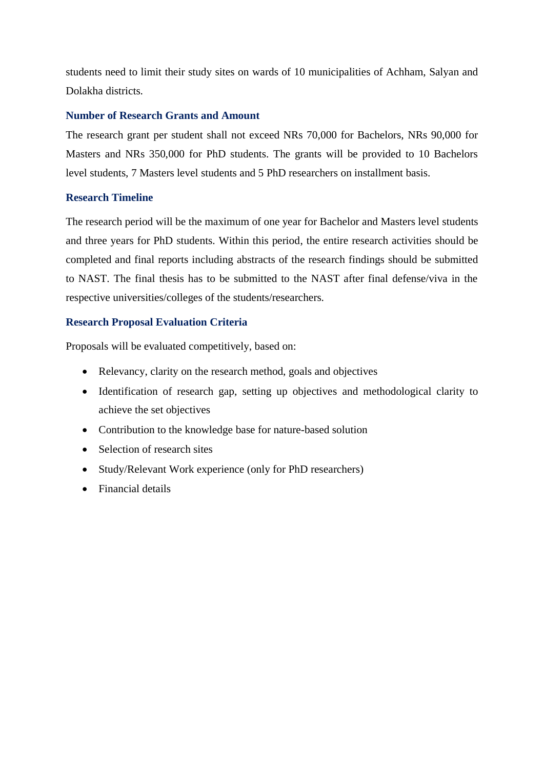students need to limit their study sites on wards of 10 municipalities of Achham, Salyan and Dolakha districts.

### **Number of Research Grants and Amount**

The research grant per student shall not exceed NRs 70,000 for Bachelors, NRs 90,000 for Masters and NRs 350,000 for PhD students. The grants will be provided to 10 Bachelors level students, 7 Masters level students and 5 PhD researchers on installment basis.

### **Research Timeline**

The research period will be the maximum of one year for Bachelor and Masters level students and three years for PhD students. Within this period, the entire research activities should be completed and final reports including abstracts of the research findings should be submitted to NAST. The final thesis has to be submitted to the NAST after final defense/viva in the respective universities/colleges of the students/researchers.

## **Research Proposal Evaluation Criteria**

Proposals will be evaluated competitively, based on:

- Relevancy, clarity on the research method, goals and objectives
- Identification of research gap, setting up objectives and methodological clarity to achieve the set objectives
- Contribution to the knowledge base for nature-based solution
- Selection of research sites
- Study/Relevant Work experience (only for PhD researchers)
- Financial details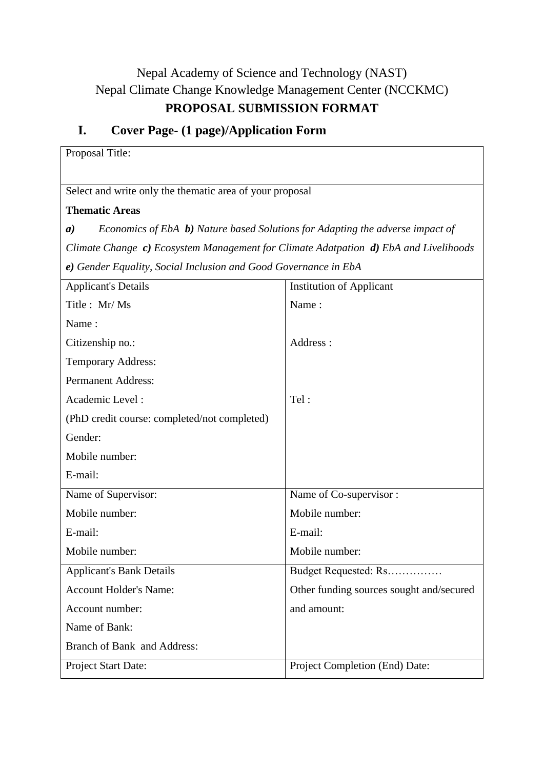# Nepal Academy of Science and Technology (NAST) Nepal Climate Change Knowledge Management Center (NCCKMC) **PROPOSAL SUBMISSION FORMAT**

# **I. Cover Page- (1 page)/Application Form**

| Proposal Title:                                                                                   |                                          |  |  |  |  |  |
|---------------------------------------------------------------------------------------------------|------------------------------------------|--|--|--|--|--|
|                                                                                                   |                                          |  |  |  |  |  |
| Select and write only the thematic area of your proposal                                          |                                          |  |  |  |  |  |
| <b>Thematic Areas</b>                                                                             |                                          |  |  |  |  |  |
| Economics of EbA b) Nature based Solutions for Adapting the adverse impact of<br>$\boldsymbol{a}$ |                                          |  |  |  |  |  |
| Climate Change c) Ecosystem Management for Climate Adatpation d) EbA and Livelihoods              |                                          |  |  |  |  |  |
| e) Gender Equality, Social Inclusion and Good Governance in EbA                                   |                                          |  |  |  |  |  |
| <b>Applicant's Details</b>                                                                        | <b>Institution of Applicant</b>          |  |  |  |  |  |
| Title: Mr/Ms                                                                                      | Name:                                    |  |  |  |  |  |
| Name:                                                                                             |                                          |  |  |  |  |  |
| Citizenship no.:                                                                                  | Address:                                 |  |  |  |  |  |
| <b>Temporary Address:</b>                                                                         |                                          |  |  |  |  |  |
| <b>Permanent Address:</b>                                                                         |                                          |  |  |  |  |  |
| Academic Level:                                                                                   | Tel:                                     |  |  |  |  |  |
| (PhD credit course: completed/not completed)                                                      |                                          |  |  |  |  |  |
| Gender:                                                                                           |                                          |  |  |  |  |  |
| Mobile number:                                                                                    |                                          |  |  |  |  |  |
| E-mail:                                                                                           |                                          |  |  |  |  |  |
| Name of Supervisor:                                                                               | Name of Co-supervisor:                   |  |  |  |  |  |
| Mobile number:                                                                                    | Mobile number:                           |  |  |  |  |  |
| E-mail:                                                                                           | E-mail:                                  |  |  |  |  |  |
| Mobile number:                                                                                    | Mobile number:                           |  |  |  |  |  |
| <b>Applicant's Bank Details</b>                                                                   | Budget Requested: Rs                     |  |  |  |  |  |
| <b>Account Holder's Name:</b>                                                                     | Other funding sources sought and/secured |  |  |  |  |  |
| Account number:                                                                                   | and amount:                              |  |  |  |  |  |
| Name of Bank:                                                                                     |                                          |  |  |  |  |  |
| Branch of Bank and Address:                                                                       |                                          |  |  |  |  |  |
| Project Start Date:                                                                               | Project Completion (End) Date:           |  |  |  |  |  |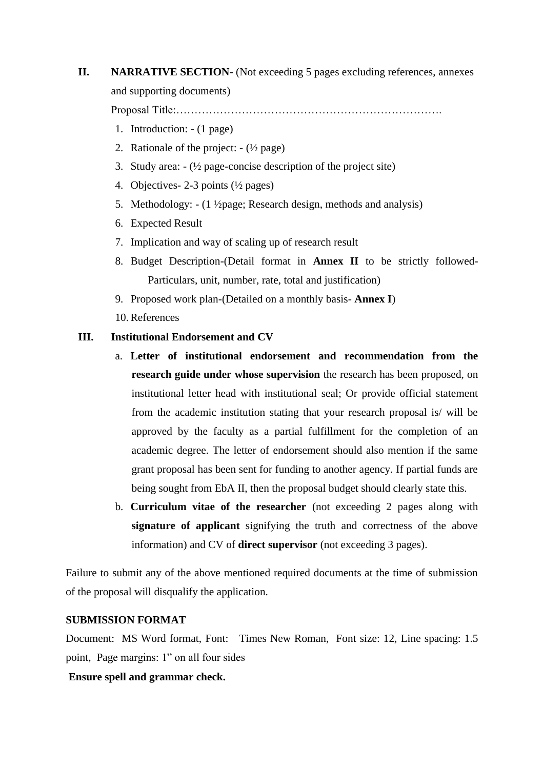# **II. NARRATIVE SECTION-** (Not exceeding 5 pages excluding references, annexes and supporting documents)

Proposal Title:……………………………………………………………….

- 1. Introduction: (1 page)
- 2. Rationale of the project:  $-(\frac{1}{2})$  page)
- 3. Study area:  $-(\frac{1}{2})$  page-concise description of the project site)
- 4. Objectives- 2-3 points (½ pages)
- 5. Methodology: (1 ½page; Research design, methods and analysis)
- 6. Expected Result
- 7. Implication and way of scaling up of research result
- 8. Budget Description-(Detail format in **Annex II** to be strictly followed-Particulars, unit, number, rate, total and justification)
- 9. Proposed work plan-(Detailed on a monthly basis- **Annex I**)
- 10.References

### **III. Institutional Endorsement and CV**

- a. **Letter of institutional endorsement and recommendation from the research guide under whose supervision** the research has been proposed, on institutional letter head with institutional seal; Or provide official statement from the academic institution stating that your research proposal is/ will be approved by the faculty as a partial fulfillment for the completion of an academic degree. The letter of endorsement should also mention if the same grant proposal has been sent for funding to another agency. If partial funds are being sought from EbA II, then the proposal budget should clearly state this.
- b. **Curriculum vitae of the researcher** (not exceeding 2 pages along with **signature of applicant** signifying the truth and correctness of the above information) and CV of **direct supervisor** (not exceeding 3 pages).

Failure to submit any of the above mentioned required documents at the time of submission of the proposal will disqualify the application.

#### **SUBMISSION FORMAT**

Document: MS Word format, Font: Times New Roman, Font size: 12, Line spacing: 1.5 point, Page margins: 1" on all four sides

#### **Ensure spell and grammar check.**